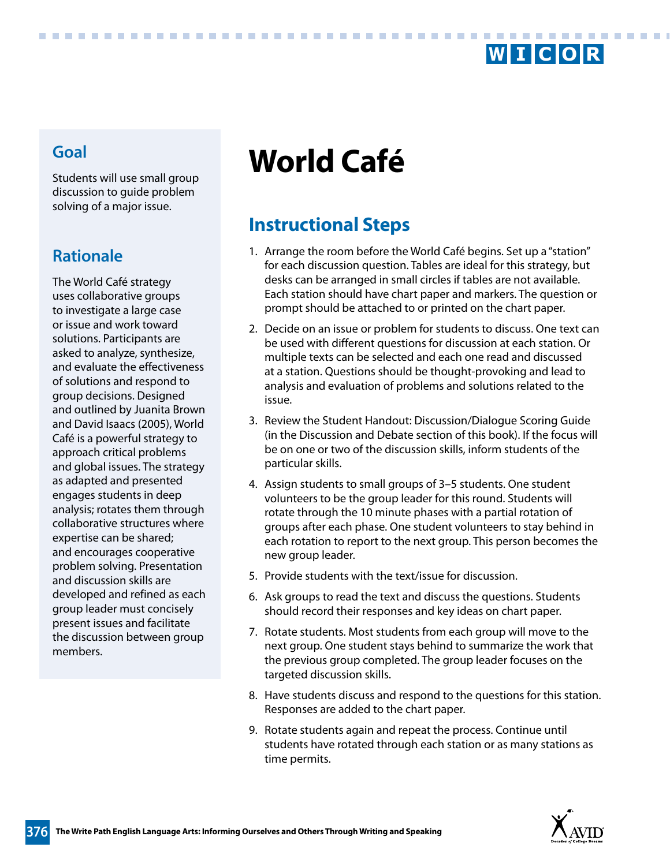

Students will use small group discussion to guide problem solving of a major issue.

............................

## **Rationale**

The World Café strategy uses collaborative groups to investigate a large case or issue and work toward solutions. Participants are asked to analyze, synthesize, and evaluate the effectiveness of solutions and respond to group decisions. Designed and outlined by Juanita Brown and David Isaacs (2005), World Café is a powerful strategy to approach critical problems and global issues. The strategy as adapted and presented engages students in deep analysis; rotates them through collaborative structures where expertise can be shared; and encourages cooperative problem solving. Presentation and discussion skills are developed and refined as each group leader must concisely present issues and facilitate the discussion between group members.

# **World Café Goal**

# **Instructional Steps**

- 1. Arrange the room before the World Café begins. Set up a "station" for each discussion question. Tables are ideal for this strategy, but desks can be arranged in small circles if tables are not available. Each station should have chart paper and markers. The question or prompt should be attached to or printed on the chart paper.
- 2. Decide on an issue or problem for students to discuss. One text can be used with different questions for discussion at each station. Or multiple texts can be selected and each one read and discussed at a station. Questions should be thought-provoking and lead to analysis and evaluation of problems and solutions related to the issue.
- 3. Review the Student Handout: Discussion/Dialogue Scoring Guide (in the Discussion and Debate section of this book). If the focus will be on one or two of the discussion skills, inform students of the particular skills.
- 4. Assign students to small groups of 3–5 students. One student volunteers to be the group leader for this round. Students will rotate through the 10 minute phases with a partial rotation of groups after each phase. One student volunteers to stay behind in each rotation to report to the next group. This person becomes the new group leader.
- 5. Provide students with the text/issue for discussion.
- 6. Ask groups to read the text and discuss the questions. Students should record their responses and key ideas on chart paper.
- 7. Rotate students. Most students from each group will move to the next group. One student stays behind to summarize the work that the previous group completed. The group leader focuses on the targeted discussion skills.
- 8. Have students discuss and respond to the questions for this station. Responses are added to the chart paper.
- 9. Rotate students again and repeat the process. Continue until students have rotated through each station or as many stations as time permits.